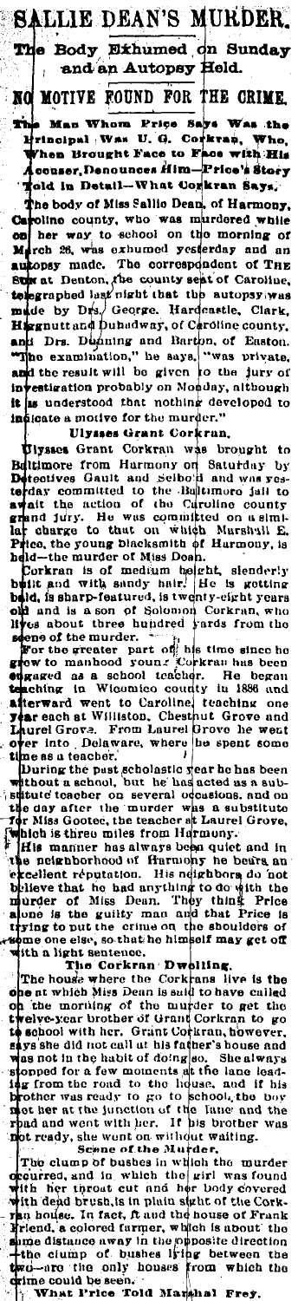**SALLIE DEAN'S MURDER** Body Exhumed on Sunday The and an Autopsy Held. NO MOTIVE FOUND FOR THE CRIME.

Man Whom Price Says Was the ÷ Principal Was U. G. Corkran. Who, Then Brought Face to Face with His<br>Vhen Brought Face to Face with His old in Detail-What Corkran Says.

The body of Miss Sallio Dean, of Harmony, The boay of sits same bean, of Harmony,<br>Caroline county, who was murdered while<br>March 26, was exhumed yesterday and an<br>autopsy made. The correspondent of THE<br>Solvent Lenton, the county sent of Caroline,<br>tolographed last ni H) rgnutt and Duhadway, of Caroline county, and Drs. Dipining and Barton, of Easton.<br>"The examination," he says, "was private,<br>and the result will be given to the jury of<br>investigation probably on Moaday, although it is understood that nothing developed to indicate a motive for the murder."

Ulysses Grant Corkran.

Ulysses Grant Corkran was brought to Elysses Grant Coraran was prought to<br>Beltimore from Hurmony on Saturday by<br>Detectives Gault and Selbord and was restricted<br>to the day committed to the Bultimore jail to<br>await the action of the Circuline county<br>rand jury. H to day committed to the Baltimore jail to await the action of the Curoline country and jury. He was committed on a similar planet on the price, the young blacksmith of Hurmony, is held—the murder of Miss Doah.<br>Price, the y

From the murder. The state and the model of the murder. The state of the state of the state of the state of the state of the state of the state of the state of the state of the state of the state of the state of the state **Example 14 and West American** Section 2. The state of the state of the state of the state of the state of the state of the state of the state of the state of the state of the state of the state of the state of the state o

Leavest the political set of the property of the property of the particle political set of the particle in the state of the state of the state of the state of the state of the state of the state of the state of the state o spaces can all many man in the more of Miss Dean. They think Price is<br>alone is the guilty man and that Price is<br>trying to put the crime on the shoulders of<br>some one else, so that he himself may get off<br>with a light sentenc

with a light sentence.<br>The house where the Corkrans live is the<br>one at which Miss Dean is suld to have called<br>on the morting of the murder to get the<br>twelve-year brother of Grant Corkran to go weive-year urother of Grant Corkman to good<br>hysishe did not call at his father's bouse and<br>hysishe did not call at his father's bouse and<br>copped for a few moments sit the lane lead-<br>copped for a few moments sit the lane le t Shealways his state the state of the back and the back and it has been the part of the lane and the part of the lane and the<br>part of the state of the lane and the part of the lane and the<br>ready, she wort on without waiting.<br>The cluster

proposition in which the girl was in the murder<br>of the set and in which the girl was found<br>with her throat cut and her body covered<br>with dend brush, is in plata sight of the Corkpun aequ orvesa, is in punu signa or the Cork-<br>hi house. In fact, ft and the house of Frank<br>friend, a colored farmer, which is about the<br>hime distance away in the opposite direction<br>+the clump of bushes living which the<br>mi ć

 $\mathbf{h}_{\mathrm{C}}$ Told Marshal What Price Frey.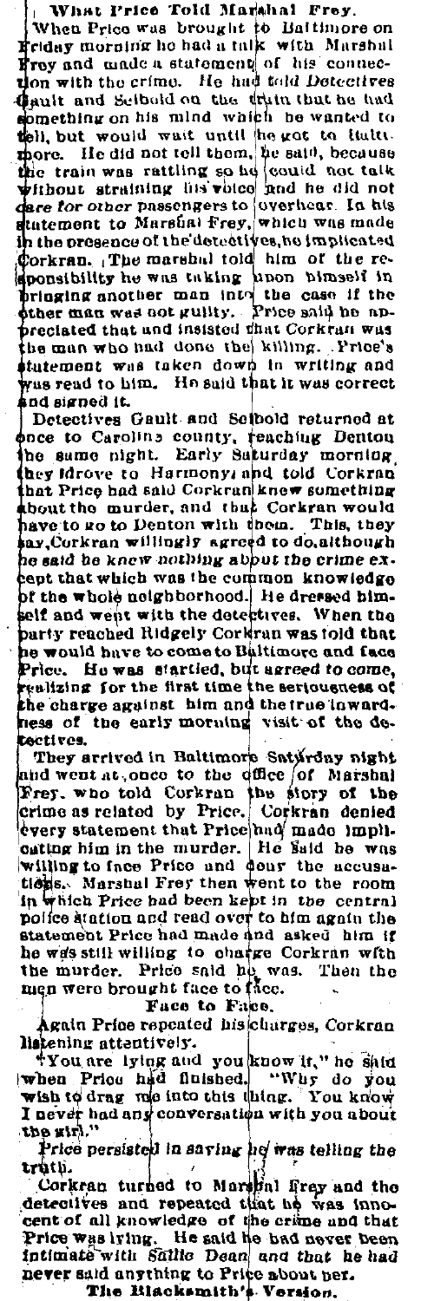What Price Told Marshal Frey.

When Price was brought to Battimore on<br>Friday morning he had a talk with Marshal<br>Froy and made a statement of his connecdon with the crime. He had told Detectives Gault and Scibold on the truin that he had omething on his mind which he wanted to tell, but would wait until he got to liatte the train was rattling so he could not talk<br>without straining lim voice and he did not are for other passengers to overhear. In his z in the presence of the detectives, he implicated sponsibility he was taking hoon bimself in<br>bringing another man intri the case if the<br>bringing another man intri the case if the preciated that and insisted that Corkran was the man who had done the killing. Price's statement was taken down in writing and was read to him. He said that it was correct nd signed it.

Detectives Gault and Scibold returned at once to Caroline county, reaching Denton the same night. Early Saturday morning they Idrove to Harmony, and told Corkran that Price had said Corkran knew something<br>about the murder, and that Corkran would have to go to Denton with them. This, they say, Corkran willingly agreed to do, although he said he knew nothing about the crime excent that which was the common knowledge of the whole neighborhood. He dressed himself and went with the detectives. When the party reached Ridgely Corkran was told that he would have to come to Baltimore and face Price. He was startled, but agreed to come, realizing for the first time the seriousness of the charge against him and the true inwardness of the early morning visit of the detectives.

They arrived in Baltimore Satyrday night and went at, once to the office of Marshal Frey, who told Corkran the story of the crime as related by Price. Corkran denied Corkran denied every statement that Price had made impliouting him in the murder. He said he was<br>willing to face Price and dour the accusa-<br>tions. Marshal Frey then went to the room in which Price had been kept in the central police diation and read over to him again the<br>statement Price had made and asked him if he was still willing to charge Corkran with the murder. Price said he was. Then the men were brought face to face.

Face to Face.

Again Price repeated his charges, Corkran listening attentively.

"You are lying and you know it," he shid when Price had finished. "Why do you I never had any conversation with you about the girl."

Price persisted in saving he was telling the truth.

truth.<br>Corkran turned to Marylin frey and the<br>detectives and repeated that he was inno-<br>cent of all knowledge of the crime and that<br>Price was lying. He said he had never been intimate with Sallie Dean and that he had never said anything to Price about per.

The Blacksmith's Version.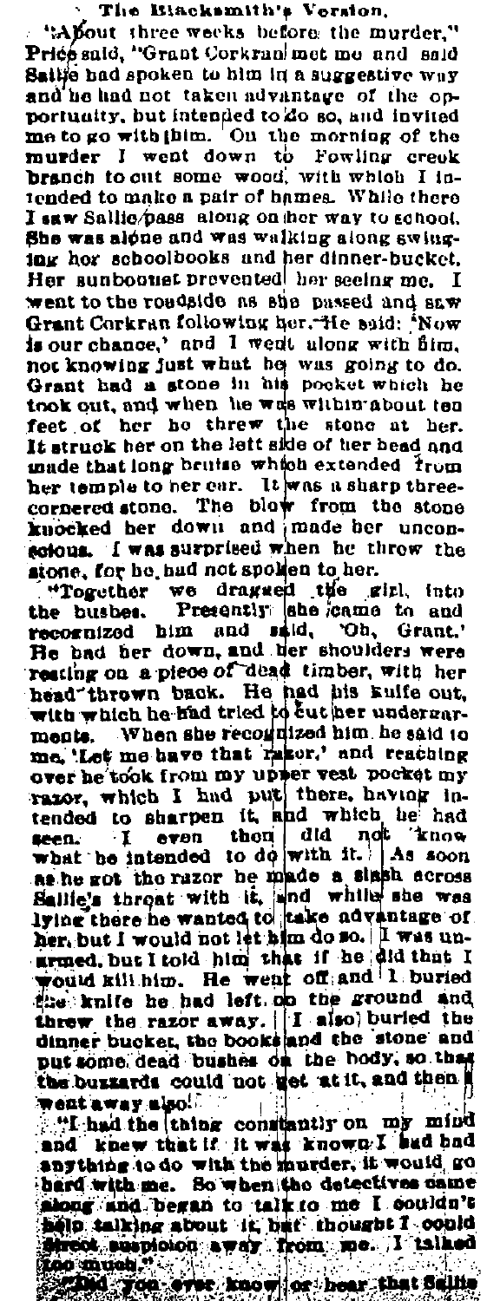## The Blacksmith's Version.

"About three weeks before the murder." Price said. "Grant Corkran met me and said Saille had spoken to him in a suggestive way and he had not taken advantage of the onportunity, but intended to do so, and invited me to go with thim. On the morning of the murder I went down to Fowling creak branch to cut some wood, with which I intended to make a pair of bames. While there I saw Sallie/pass along on her way to school. She was alone and was walking along swinging her schoolbooks and her dinner-bucket. Her sunbound provented her seeing me. I went to the roadside as she passed and asw Grant Corkran following her. He said: 'Now is our chance,' and I went along with firm. not knowing just what he was going to do.<br>Grant had a stone in his pocket which he took out, and when he was within about ten feet of her he threw the stone at her. It struck her on the left side of her bead and made that long bruise which extended from her temple to her ear. It was a sharp threecornered stone. The blow from the stone knocked her down and made her unconscious. I was surprised when he throw the stone, for he had not spoken to her.

"Together we dragged the girl, into<br>the bushes. Presently she came to and recognized him and said, 'Oh, Grant,' He had her down, and her shoulders were reating on a piece of dead timber, with her head thrown back. He had his kuife out. with which he had tried to cut her undergarments. When she recognized him he said to me, 'Let me have that razor,' and reaching over he took from my upper vest pocket my razor, which I had put there, having intended to sharpen it, and which he had seen. I even then did not know what he intended to do with it. As soon as he got the razor he made a slaph across Sallie's throat with it, and while she was<br>lying there he wanted to take advantage of her but I would not let him do so. I was unarmed, but I told him that if he did that I would kill him. He went off and 1 buried the knife he had left on the ground and threw the razor away. I also buried the dinner bucket, the books and the stone and put some dead bushes on the hody, so that the buzzards could not get at it, and then went away also.

"I had the thing constantly on my mind<br>and knew that if it was known. I had had anything to do with the murder, if would go bard with me. So when the detectives came elp talking about it hat thought I could ireot suspicion away from me. I talked

conused " the ares known or hear that Sellie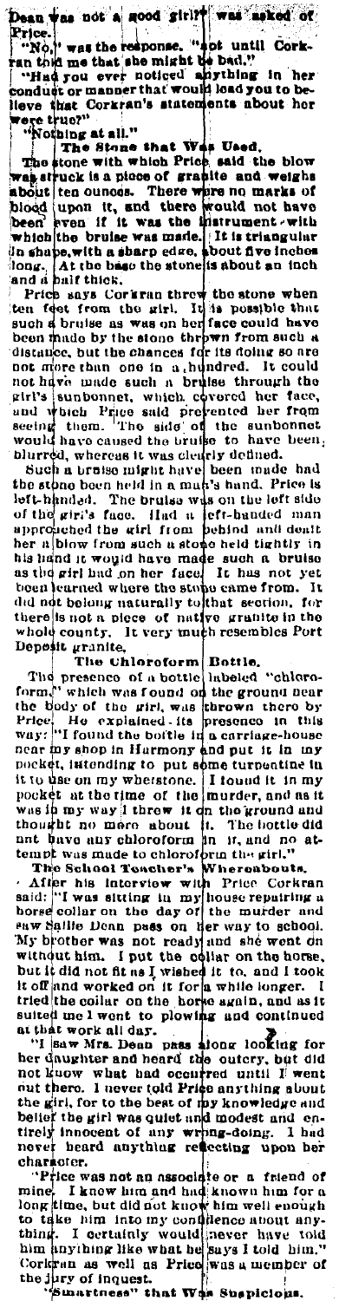Dean was not a good girl?" was asked of<br>Price...<br>"No," was the response. "not until Cork-<br>ran told me that she might be bad."<br>conduct or manner that would load you to be-<br>conduct or manner that would load you to be-<br>llong conduct or manner that would load you to be-

Neve that Corkran's surrounded and the state of the state of the state of the state of the state of the state of the state of the state is a phone of the state and we also the state and we been bood upon it, and there were long. At the base the stone is about an inches<br>and a balf thick.

and a built thick,<br>and a built thick,<br>then feet from the state when<br>such a built thick,<br>such a bruise as was on her face could have<br>been made by the stone threw from such a<br>distance, but the chances for its doing so are<br>no

blurred, whereas it was clearly defined.<br>Such a trained in the school and the stone been include in a mun's hand. Price is<br>left-handed. The bruise wis on the left side of the stone been held in a mun's hand. Price is<br>left-

whole county. It very much resembles Port<br>
Pepsit granite,<br>
The chloroform Bottle,<br>
The presence of a bottle lubeled "chloro-<br>
form," which was found on the ground near<br>
the biody of the gril, was thrown there by<br>
Price.<br>

near ing shop in Harmony and put it in my<br>pocket, it<br>to the on my whetsione, it found it in my<br>it to the on my whetsione. It found it in my<br>pocket at the time of the murder, and as it<br>was in my way it three with the kroun

never heard anything relecting upon her<br>character.<br>Three was not an associate or a friend of<br>mine. I know him and had known him for a<br>long kime, but did not know him well enough<br>to the behavior in more contractions.<br>thing.